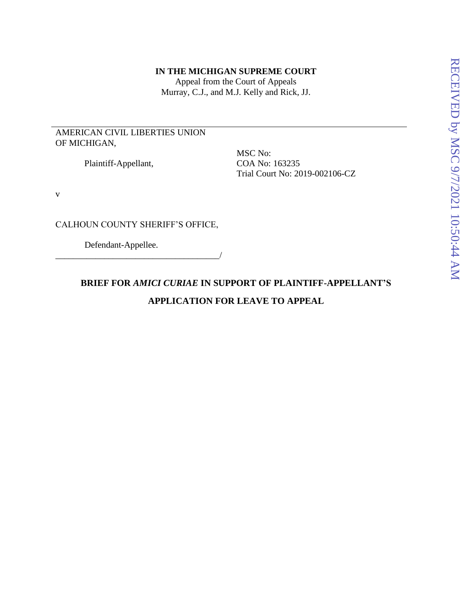#### **IN THE MICHIGAN SUPREME COURT**

Appeal from the Court of Appeals Murray, C.J., and M.J. Kelly and Rick, JJ.

## AMERICAN CIVIL LIBERTIES UNION OF MICHIGAN,

Plaintiff-Appellant,

MSC No: COA No: 163235 Trial Court No: 2019-002106-CZ

v

CALHOUN COUNTY SHERIFF'S OFFICE,

Defendant-Appellee.

\_\_\_\_\_\_\_\_\_\_\_\_\_\_\_\_\_\_\_\_\_\_\_\_\_\_\_\_\_\_\_\_\_\_\_\_\_/

# **BRIEF FOR** *AMICI CURIAE* **IN SUPPORT OF PLAINTIFF-APPELLANT'S APPLICATION FOR LEAVE TO APPEAL**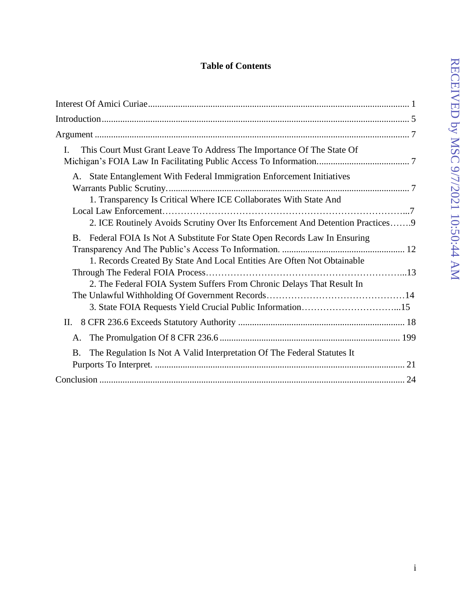# **Table of Contents**

| This Court Must Grant Leave To Address The Importance Of The State Of<br>Ι.                                                                                                                                                              |
|------------------------------------------------------------------------------------------------------------------------------------------------------------------------------------------------------------------------------------------|
| A. State Entanglement With Federal Immigration Enforcement Initiatives<br>1. Transparency Is Critical Where ICE Collaborates With State And                                                                                              |
| 2. ICE Routinely Avoids Scrutiny Over Its Enforcement And Detention Practices 9                                                                                                                                                          |
| Federal FOIA Is Not A Substitute For State Open Records Law In Ensuring<br><b>B.</b><br>1. Records Created By State And Local Entities Are Often Not Obtainable<br>2. The Federal FOIA System Suffers From Chronic Delays That Result In |
| П.                                                                                                                                                                                                                                       |
| A.<br>The Regulation Is Not A Valid Interpretation Of The Federal Statutes It<br><b>B.</b>                                                                                                                                               |
|                                                                                                                                                                                                                                          |
|                                                                                                                                                                                                                                          |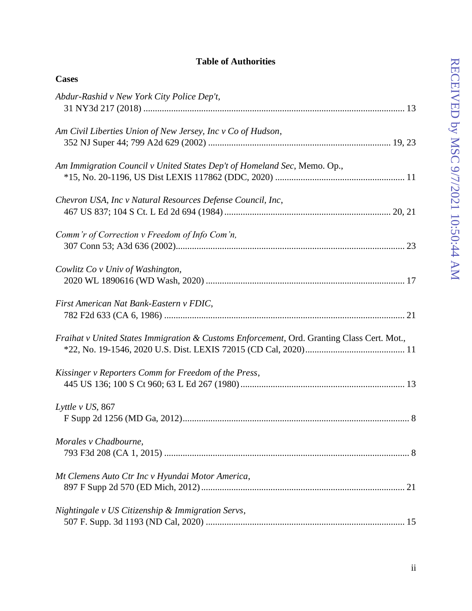## **Table of Authorities**

| <b>Cases</b>                                                                               |
|--------------------------------------------------------------------------------------------|
| Abdur-Rashid v New York City Police Dep't,                                                 |
| Am Civil Liberties Union of New Jersey, Inc v Co of Hudson,                                |
| Am Immigration Council v United States Dep't of Homeland Sec, Memo. Op.,                   |
| Chevron USA, Inc v Natural Resources Defense Council, Inc,                                 |
| Comm'r of Correction v Freedom of Info Com'n,                                              |
| Cowlitz Co v Univ of Washington,                                                           |
| First American Nat Bank-Eastern v FDIC,                                                    |
| Fraihat v United States Immigration & Customs Enforcement, Ord. Granting Class Cert. Mot., |
| Kissinger v Reporters Comm for Freedom of the Press,                                       |
| Lyttle v US, 867                                                                           |
| Morales v Chadbourne,                                                                      |
| Mt Clemens Auto Ctr Inc v Hyundai Motor America,                                           |
| Nightingale v US Citizenship & Immigration Servs,                                          |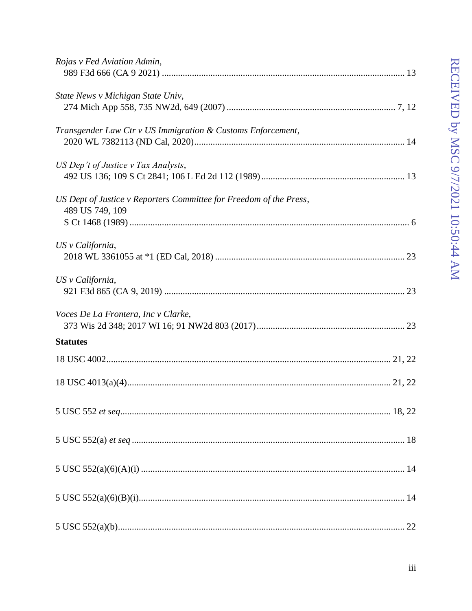| Rojas v Fed Aviation Admin,                                                           |
|---------------------------------------------------------------------------------------|
| State News v Michigan State Univ,                                                     |
| Transgender Law Ctr v US Immigration & Customs Enforcement,                           |
| US Dep't of Justice v Tax Analysts,                                                   |
| US Dept of Justice v Reporters Committee for Freedom of the Press,<br>489 US 749, 109 |
| US v California,                                                                      |
| US v California,                                                                      |
| Voces De La Frontera, Inc v Clarke,                                                   |
| <b>Statutes</b>                                                                       |
|                                                                                       |
|                                                                                       |
|                                                                                       |
|                                                                                       |
|                                                                                       |
|                                                                                       |
|                                                                                       |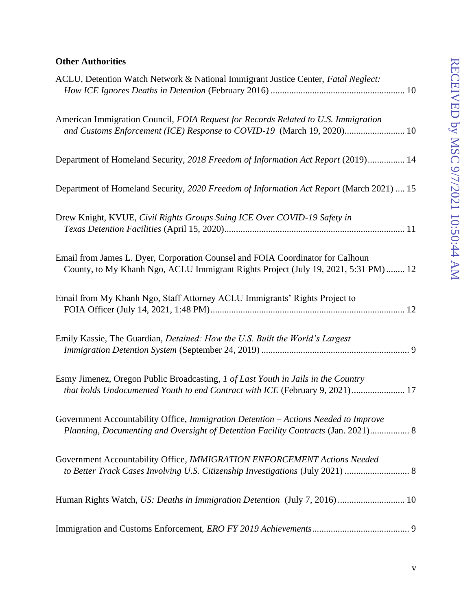## **Other Authorities**

| ACLU, Detention Watch Network & National Immigrant Justice Center, Fatal Neglect:                                                                                        |
|--------------------------------------------------------------------------------------------------------------------------------------------------------------------------|
| American Immigration Council, FOIA Request for Records Related to U.S. Immigration<br>and Customs Enforcement (ICE) Response to COVID-19 (March 19, 2020) 10             |
| Department of Homeland Security, 2018 Freedom of Information Act Report (2019) 14                                                                                        |
| Department of Homeland Security, 2020 Freedom of Information Act Report (March 2021)  15                                                                                 |
| Drew Knight, KVUE, Civil Rights Groups Suing ICE Over COVID-19 Safety in                                                                                                 |
| Email from James L. Dyer, Corporation Counsel and FOIA Coordinator for Calhoun<br>County, to My Khanh Ngo, ACLU Immigrant Rights Project (July 19, 2021, 5:31 PM)  12    |
| Email from My Khanh Ngo, Staff Attorney ACLU Immigrants' Rights Project to                                                                                               |
| Emily Kassie, The Guardian, Detained: How the U.S. Built the World's Largest                                                                                             |
| Esmy Jimenez, Oregon Public Broadcasting, 1 of Last Youth in Jails in the Country<br>that holds Undocumented Youth to end Contract with ICE (February 9, 2021) 17        |
| Government Accountability Office, Immigration Detention - Actions Needed to Improve<br>Planning, Documenting and Oversight of Detention Facility Contracts (Jan. 2021) 8 |
| Government Accountability Office, IMMIGRATION ENFORCEMENT Actions Needed<br>to Better Track Cases Involving U.S. Citizenship Investigations (July 2021)  8               |
|                                                                                                                                                                          |
|                                                                                                                                                                          |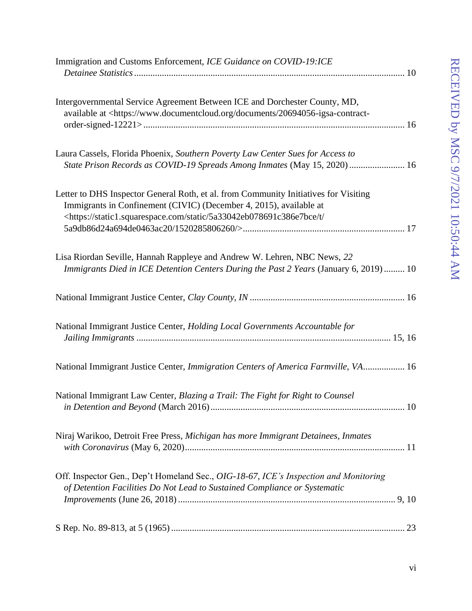| Immigration and Customs Enforcement, ICE Guidance on COVID-19:ICE                                                                                                                                                                                                |
|------------------------------------------------------------------------------------------------------------------------------------------------------------------------------------------------------------------------------------------------------------------|
| Intergovernmental Service Agreement Between ICE and Dorchester County, MD,<br>available at <https: 20694056-igsa-contract-<="" documents="" td="" www.documentcloud.org=""></https:>                                                                             |
| Laura Cassels, Florida Phoenix, Southern Poverty Law Center Sues for Access to<br>State Prison Records as COVID-19 Spreads Among Inmates (May 15, 2020)  16                                                                                                      |
| Letter to DHS Inspector General Roth, et al. from Community Initiatives for Visiting<br>Immigrants in Confinement (CIVIC) (December 4, 2015), available at<br><https: 5a33042eb078691c386e7bce="" <="" static="" static1.squarespace.com="" t="" td=""></https:> |
| Lisa Riordan Seville, Hannah Rappleye and Andrew W. Lehren, NBC News, 22<br>Immigrants Died in ICE Detention Centers During the Past 2 Years (January 6, 2019)  10                                                                                               |
|                                                                                                                                                                                                                                                                  |
| National Immigrant Justice Center, Holding Local Governments Accountable for                                                                                                                                                                                     |
| National Immigrant Justice Center, Immigration Centers of America Farmville, VA 16                                                                                                                                                                               |
| National Immigrant Law Center, Blazing a Trail: The Fight for Right to Counsel                                                                                                                                                                                   |
| Niraj Warikoo, Detroit Free Press, Michigan has more Immigrant Detainees, Inmates                                                                                                                                                                                |
| Off. Inspector Gen., Dep't Homeland Sec., OIG-18-67, ICE's Inspection and Monitoring<br>of Detention Facilities Do Not Lead to Sustained Compliance or Systematic                                                                                                |
|                                                                                                                                                                                                                                                                  |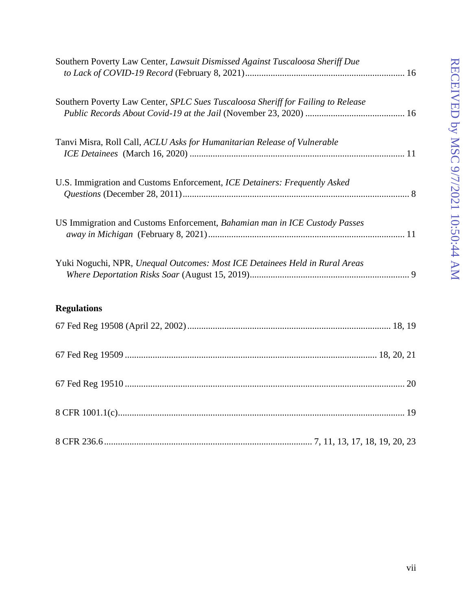| Southern Poverty Law Center, Lawsuit Dismissed Against Tuscaloosa Sheriff Due    |
|----------------------------------------------------------------------------------|
| Southern Poverty Law Center, SPLC Sues Tuscaloosa Sheriff for Failing to Release |
| Tanvi Misra, Roll Call, ACLU Asks for Humanitarian Release of Vulnerable         |
| U.S. Immigration and Customs Enforcement, ICE Detainers: Frequently Asked        |
| US Immigration and Customs Enforcement, Bahamian man in ICE Custody Passes       |
| Yuki Noguchi, NPR, Unequal Outcomes: Most ICE Detainees Held in Rural Areas      |
| <b>Regulations</b>                                                               |
|                                                                                  |
|                                                                                  |
|                                                                                  |
|                                                                                  |
|                                                                                  |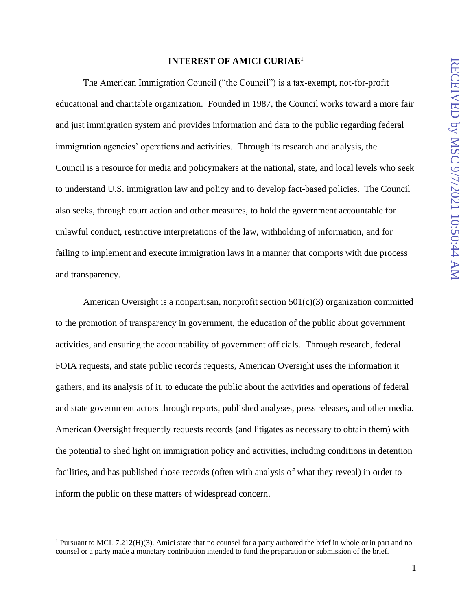#### **INTEREST OF AMICI CURIAE**<sup>1</sup>

<span id="page-8-0"></span>The American Immigration Council ("the Council") is a tax-exempt, not-for-profit educational and charitable organization. Founded in 1987, the Council works toward a more fair and just immigration system and provides information and data to the public regarding federal immigration agencies' operations and activities. Through its research and analysis, the Council is a resource for media and policymakers at the national, state, and local levels who seek to understand U.S. immigration law and policy and to develop fact-based policies. The Council also seeks, through court action and other measures, to hold the government accountable for unlawful conduct, restrictive interpretations of the law, withholding of information, and for failing to implement and execute immigration laws in a manner that comports with due process and transparency.

American Oversight is a nonpartisan, nonprofit section 501(c)(3) organization committed to the promotion of transparency in government, the education of the public about government activities, and ensuring the accountability of government officials. Through research, federal FOIA requests, and state public records requests, American Oversight uses the information it gathers, and its analysis of it, to educate the public about the activities and operations of federal and state government actors through reports, published analyses, press releases, and other media. American Oversight frequently requests records (and litigates as necessary to obtain them) with the potential to shed light on immigration policy and activities, including conditions in detention facilities, and has published those records (often with analysis of what they reveal) in order to inform the public on these matters of widespread concern.

<sup>&</sup>lt;sup>1</sup> Pursuant to MCL 7.212(H)(3), Amici state that no counsel for a party authored the brief in whole or in part and no counsel or a party made a monetary contribution intended to fund the preparation or submission of the brief.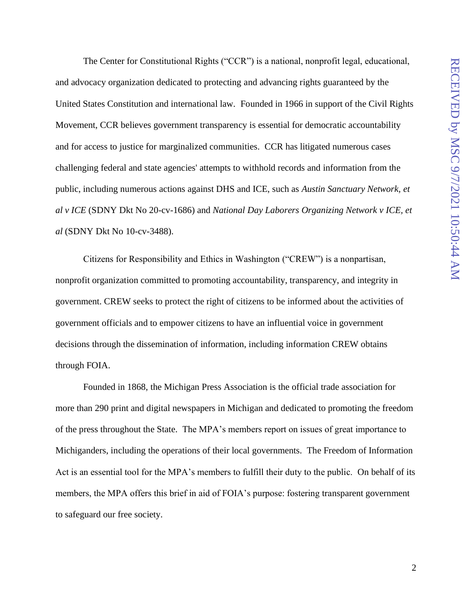The Center for Constitutional Rights ("CCR") is a national, nonprofit legal, educational, and advocacy organization dedicated to protecting and advancing rights guaranteed by the United States Constitution and international law. Founded in 1966 in support of the Civil Rights Movement, CCR believes government transparency is essential for democratic accountability and for access to justice for marginalized communities. CCR has litigated numerous cases challenging federal and state agencies' attempts to withhold records and information from the public, including numerous actions against DHS and ICE, such as *Austin Sanctuary Network, et al v ICE* (SDNY Dkt No 20-cv-1686) and *National Day Laborers Organizing Network v ICE, et al* (SDNY Dkt No 10-cv-3488).

Citizens for Responsibility and Ethics in Washington ("CREW") is a nonpartisan, nonprofit organization committed to promoting accountability, transparency, and integrity in government. CREW seeks to protect the right of citizens to be informed about the activities of government officials and to empower citizens to have an influential voice in government decisions through the dissemination of information, including information CREW obtains through FOIA.

Founded in 1868, the Michigan Press Association is the official trade association for more than 290 print and digital newspapers in Michigan and dedicated to promoting the freedom of the press throughout the State. The MPA's members report on issues of great importance to Michiganders, including the operations of their local governments. The Freedom of Information Act is an essential tool for the MPA's members to fulfill their duty to the public. On behalf of its members, the MPA offers this brief in aid of FOIA's purpose: fostering transparent government to safeguard our free society.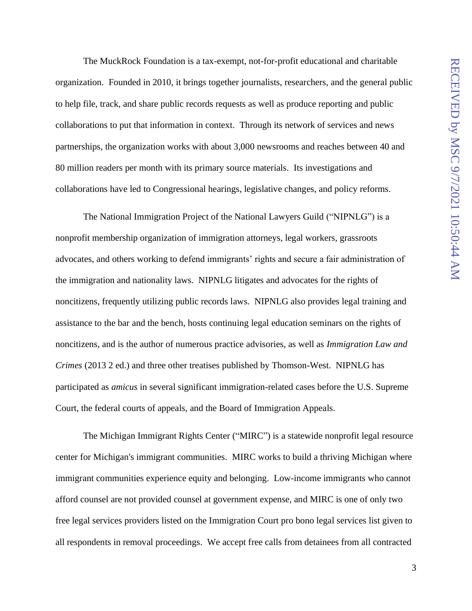The MuckRock Foundation is a tax-exempt, not-for-profit educational and charitable organization. Founded in 2010, it brings together journalists, researchers, and the general public to help file, track, and share public records requests as well as produce reporting and public collaborations to put that information in context. Through its network of services and news partnerships, the organization works with about 3,000 newsrooms and reaches between 40 and 80 million readers per month with its primary source materials. Its investigations and collaborations have led to Congressional hearings, legislative changes, and policy reforms.

The National Immigration Project of the National Lawyers Guild ("NIPNLG") is a nonprofit membership organization of immigration attorneys, legal workers, grassroots advocates, and others working to defend immigrants' rights and secure a fair administration of the immigration and nationality laws. NIPNLG litigates and advocates for the rights of noncitizens, frequently utilizing public records laws. NIPNLG also provides legal training and assistance to the bar and the bench, hosts continuing legal education seminars on the rights of noncitizens, and is the author of numerous practice advisories, as well as *Immigration Law and Crimes* (2013 2 ed.) and three other treatises published by Thomson-West. NIPNLG has participated as *amicus* in several significant immigration-related cases before the U.S. Supreme Court, the federal courts of appeals, and the Board of Immigration Appeals.

The Michigan Immigrant Rights Center ("MIRC") is a statewide nonprofit legal resource center for Michigan's immigrant communities. MIRC works to build a thriving Michigan where immigrant communities experience equity and belonging. Low-income immigrants who cannot afford counsel are not provided counsel at government expense, and MIRC is one of only two free legal services providers listed on the Immigration Court pro bono legal services list given to all respondents in removal proceedings. We accept free calls from detainees from all contracted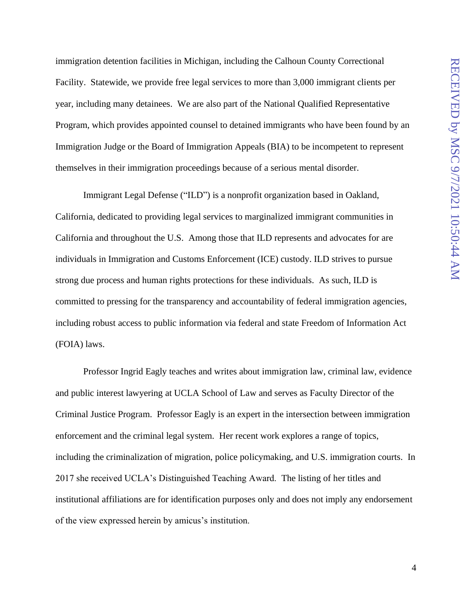immigration detention facilities in Michigan, including the Calhoun County Correctional Facility. Statewide, we provide free legal services to more than 3,000 immigrant clients per year, including many detainees. We are also part of the National Qualified Representative Program, which provides appointed counsel to detained immigrants who have been found by an Immigration Judge or the Board of Immigration Appeals (BIA) to be incompetent to represent themselves in their immigration proceedings because of a serious mental disorder.

Immigrant Legal Defense ("ILD") is a nonprofit organization based in Oakland, California, dedicated to providing legal services to marginalized immigrant communities in California and throughout the U.S. Among those that ILD represents and advocates for are individuals in Immigration and Customs Enforcement (ICE) custody. ILD strives to pursue strong due process and human rights protections for these individuals. As such, ILD is committed to pressing for the transparency and accountability of federal immigration agencies, including robust access to public information via federal and state Freedom of Information Act (FOIA) laws.

Professor Ingrid Eagly teaches and writes about immigration law, criminal law, evidence and public interest lawyering at UCLA School of Law and serves as Faculty Director of the Criminal Justice Program. Professor Eagly is an expert in the intersection between immigration enforcement and the criminal legal system. Her recent work explores a range of topics, including the criminalization of migration, police policymaking, and U.S. immigration courts. In 2017 she received UCLA's Distinguished Teaching Award. The listing of her titles and institutional affiliations are for identification purposes only and does not imply any endorsement of the view expressed herein by amicus's institution.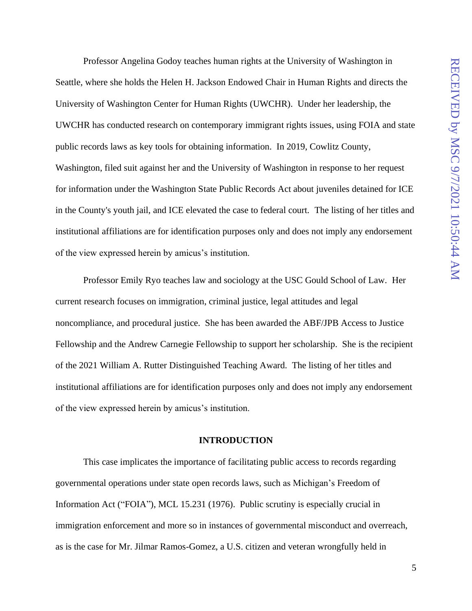Professor Angelina Godoy teaches human rights at the University of Washington in Seattle, where she holds the Helen H. Jackson Endowed Chair in Human Rights and directs the University of Washington Center for Human Rights (UWCHR). Under her leadership, the UWCHR has conducted research on contemporary immigrant rights issues, using FOIA and state public records laws as key tools for obtaining information. In 2019, Cowlitz County, Washington, filed suit against her and the University of Washington in response to her request for information under the Washington State Public Records Act about juveniles detained for ICE in the County's youth jail, and ICE elevated the case to federal court. The listing of her titles and institutional affiliations are for identification purposes only and does not imply any endorsement of the view expressed herein by amicus's institution.

Professor Emily Ryo teaches law and sociology at the USC Gould School of Law. Her current research focuses on immigration, criminal justice, legal attitudes and legal noncompliance, and procedural justice. She has been awarded the ABF/JPB Access to Justice Fellowship and the Andrew Carnegie Fellowship to support her scholarship. She is the recipient of the 2021 William A. Rutter Distinguished Teaching Award. The listing of her titles and institutional affiliations are for identification purposes only and does not imply any endorsement of the view expressed herein by amicus's institution.

#### **INTRODUCTION**

<span id="page-12-0"></span>This case implicates the importance of facilitating public access to records regarding governmental operations under state open records laws, such as Michigan's Freedom of Information Act ("FOIA"), MCL 15.231 (1976). Public scrutiny is especially crucial in immigration enforcement and more so in instances of governmental misconduct and overreach, as is the case for Mr. Jilmar Ramos-Gomez, a U.S. citizen and veteran wrongfully held in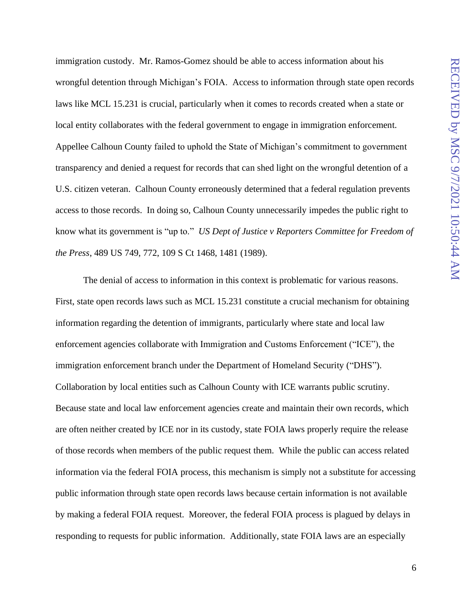immigration custody. Mr. Ramos-Gomez should be able to access information about his wrongful detention through Michigan's FOIA. Access to information through state open records laws like MCL 15.231 is crucial, particularly when it comes to records created when a state or local entity collaborates with the federal government to engage in immigration enforcement. Appellee Calhoun County failed to uphold the State of Michigan's commitment to government transparency and denied a request for records that can shed light on the wrongful detention of a U.S. citizen veteran. Calhoun County erroneously determined that a federal regulation prevents access to those records. In doing so, Calhoun County unnecessarily impedes the public right to know what its government is "up to." *US Dept of Justice v Reporters Committee for Freedom of the Press*, 489 US 749, 772, 109 S Ct 1468, 1481 (1989).

The denial of access to information in this context is problematic for various reasons. First, state open records laws such as MCL 15.231 constitute a crucial mechanism for obtaining information regarding the detention of immigrants, particularly where state and local law enforcement agencies collaborate with Immigration and Customs Enforcement ("ICE"), the immigration enforcement branch under the Department of Homeland Security ("DHS"). Collaboration by local entities such as Calhoun County with ICE warrants public scrutiny. Because state and local law enforcement agencies create and maintain their own records, which are often neither created by ICE nor in its custody, state FOIA laws properly require the release of those records when members of the public request them. While the public can access related information via the federal FOIA process, this mechanism is simply not a substitute for accessing public information through state open records laws because certain information is not available by making a federal FOIA request. Moreover, the federal FOIA process is plagued by delays in responding to requests for public information. Additionally, state FOIA laws are an especially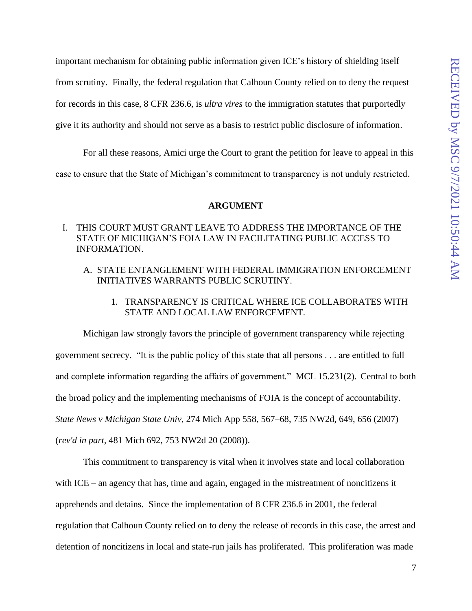important mechanism for obtaining public information given ICE's history of shielding itself from scrutiny. Finally, the federal regulation that Calhoun County relied on to deny the request for records in this case, 8 CFR 236.6, is *ultra vires* to the immigration statutes that purportedly give it its authority and should not serve as a basis to restrict public disclosure of information.

For all these reasons, Amici urge the Court to grant the petition for leave to appeal in this case to ensure that the State of Michigan's commitment to transparency is not unduly restricted.

#### **ARGUMENT**

#### <span id="page-14-1"></span><span id="page-14-0"></span>I. THIS COURT MUST GRANT LEAVE TO ADDRESS THE IMPORTANCE OF THE STATE OF MICHIGAN'S FOIA LAW IN FACILITATING PUBLIC ACCESS TO INFORMATION.

- <span id="page-14-2"></span>A. STATE ENTANGLEMENT WITH FEDERAL IMMIGRATION ENFORCEMENT INITIATIVES WARRANTS PUBLIC SCRUTINY.
	- 1. TRANSPARENCY IS CRITICAL WHERE ICE COLLABORATES WITH STATE AND LOCAL LAW ENFORCEMENT.

<span id="page-14-3"></span>Michigan law strongly favors the principle of government transparency while rejecting government secrecy. "It is the public policy of this state that all persons . . . are entitled to full and complete information regarding the affairs of government." MCL 15.231(2). Central to both the broad policy and the implementing mechanisms of FOIA is the concept of accountability. *State News v Michigan State Univ*, 274 Mich App 558, 567–68, 735 NW2d, 649, 656 (2007) (*rev'd in part,* 481 Mich 692, 753 NW2d 20 (2008)).

This commitment to transparency is vital when it involves state and local collaboration with ICE – an agency that has, time and again, engaged in the mistreatment of noncitizens it apprehends and detains. Since the implementation of 8 CFR 236.6 in 2001, the federal regulation that Calhoun County relied on to deny the release of records in this case, the arrest and detention of noncitizens in local and state-run jails has proliferated. This proliferation was made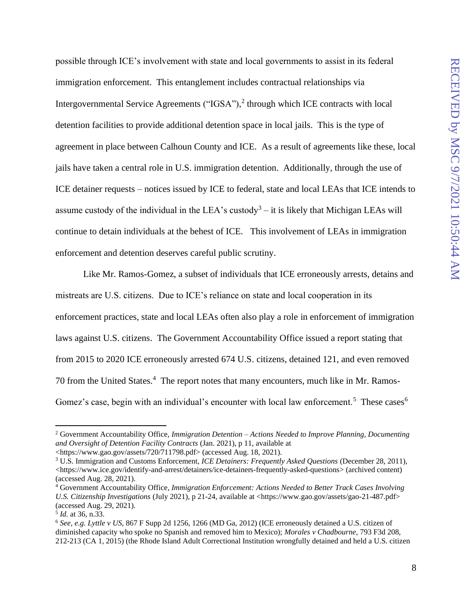possible through ICE's involvement with state and local governments to assist in its federal immigration enforcement. This entanglement includes contractual relationships via Intergovernmental Service Agreements ("IGSA"), $<sup>2</sup>$  through which ICE contracts with local</sup> detention facilities to provide additional detention space in local jails. This is the type of agreement in place between Calhoun County and ICE. As a result of agreements like these, local jails have taken a central role in U.S. immigration detention. Additionally, through the use of ICE detainer requests – notices issued by ICE to federal, state and local LEAs that ICE intends to assume custody of the individual in the LEA's custody<sup>3</sup> – it is likely that Michigan LEAs will continue to detain individuals at the behest of ICE. This involvement of LEAs in immigration enforcement and detention deserves careful public scrutiny.

Like Mr. Ramos-Gomez, a subset of individuals that ICE erroneously arrests, detains and mistreats are U.S. citizens. Due to ICE's reliance on state and local cooperation in its enforcement practices, state and local LEAs often also play a role in enforcement of immigration laws against U.S. citizens. The Government Accountability Office issued a report stating that from 2015 to 2020 ICE erroneously arrested 674 U.S. citizens, detained 121, and even removed 70 from the United States.<sup>4</sup> The report notes that many encounters, much like in Mr. Ramos-Gomez's case, begin with an individual's encounter with local law enforcement.<sup>5</sup> These cases<sup>6</sup>

<sup>2</sup> Government Accountability Office, *Immigration Detention – Actions Needed to Improve Planning, Documenting and Oversight of Detention Facility Contracts* (Jan. 2021), p 11, available at <https://www.gao.gov/assets/720/711798.pdf> (accessed Aug. 18, 2021).

<sup>3</sup> U.S. Immigration and Customs Enforcement, *ICE Detainers: Frequently Asked Questions* (December 28, 2011), <https://www.ice.gov/identify-and-arrest/detainers/ice-detainers-frequently-asked-questions> (archived content) (accessed Aug. 28, 2021).

<sup>4</sup> Government Accountability Office*, Immigration Enforcement: Actions Needed to Better Track Cases Involving U.S. Citizenship Investigations* (July 2021), p 21-24, available at <https://www.gao.gov/assets/gao-21-487.pdf> (accessed Aug. 29, 2021)*.*

<sup>5</sup> *Id.* at 36, n.33.

<sup>6</sup> *See, e.g. Lyttle v US,* 867 F Supp 2d 1256, 1266 (MD Ga, 2012) (ICE erroneously detained a U.S. citizen of diminished capacity who spoke no Spanish and removed him to Mexico); *Morales v Chadbourne,* 793 F3d 208, 212-213 (CA 1, 2015) (the Rhode Island Adult Correctional Institution wrongfully detained and held a U.S. citizen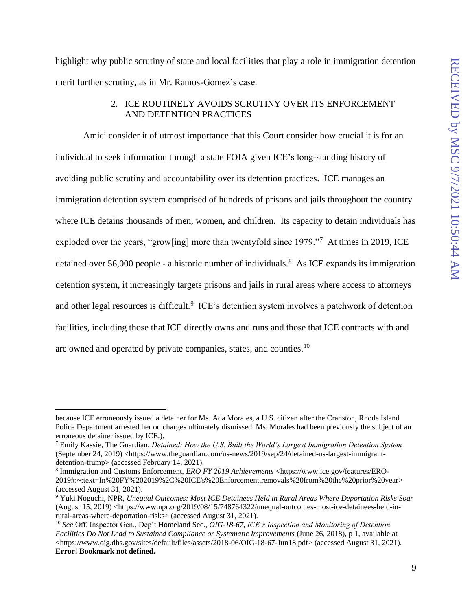highlight why public scrutiny of state and local facilities that play a role in immigration detention merit further scrutiny, as in Mr. Ramos-Gomez's case.

#### 2. ICE ROUTINELY AVOIDS SCRUTINY OVER ITS ENFORCEMENT AND DETENTION PRACTICES

<span id="page-16-0"></span>Amici consider it of utmost importance that this Court consider how crucial it is for an individual to seek information through a state FOIA given ICE's long-standing history of avoiding public scrutiny and accountability over its detention practices. ICE manages an immigration detention system comprised of hundreds of prisons and jails throughout the country where ICE detains thousands of men, women, and children. Its capacity to detain individuals has exploded over the years, "grow[ing] more than twentyfold since 1979."<sup>7</sup> At times in 2019, ICE detained over 56,000 people - a historic number of individuals.<sup>8</sup> As ICE expands its immigration detention system, it increasingly targets prisons and jails in rural areas where access to attorneys and other legal resources is difficult.<sup>9</sup> ICE's detention system involves a patchwork of detention facilities, including those that ICE directly owns and runs and those that ICE contracts with and are owned and operated by private companies, states, and counties.<sup>10</sup>

because ICE erroneously issued a detainer for Ms. Ada Morales, a U.S. citizen after the Cranston, Rhode Island Police Department arrested her on charges ultimately dismissed. Ms. Morales had been previously the subject of an erroneous detainer issued by ICE.).

<sup>7</sup> Emily Kassie, The Guardian, *Detained: How the U.S. Built the World's Largest Immigration Detention System* (September 24, 2019) [<https://www.theguardian.com/us-news/2019/sep/24/detained-us-largest-immigrant](https://www.theguardian.com/us-news/2019/sep/24/detained-us-largest-immigrant-detention-trump)[detention-trump>](https://www.theguardian.com/us-news/2019/sep/24/detained-us-largest-immigrant-detention-trump) (accessed February 14, 2021).

<sup>8</sup> Immigration and Customs Enforcement, *ERO FY 2019 Achievements* <https://www.ice.gov/features/ERO-2019#:~:text=In%20FY%202019%2C%20ICE's%20Enforcement,removals%20from%20the%20prior%20year> (accessed August 31, 2021).

<sup>9</sup> Yuki Noguchi, NPR, *Unequal Outcomes: Most ICE Detainees Held in Rural Areas Where Deportation Risks Soar* (August 15, 2019) <https://www.npr.org/2019/08/15/748764322/unequal-outcomes-most-ice-detainees-held-inrural-areas-where-deportation-risks> (accessed August 31, 2021).

<sup>10</sup> *See* Off. Inspector Gen., Dep't Homeland Sec., *OIG-18-67, ICE's Inspection and Monitoring of Detention Facilities Do Not Lead to Sustained Compliance or Systematic Improvements* (June 26, 2018), p 1, available at <https://www.oig.dhs.gov/sites/default/files/assets/2018-06/OIG-18-67-Jun18.pdf> (accessed August 31, 2021). **Error! Bookmark not defined.**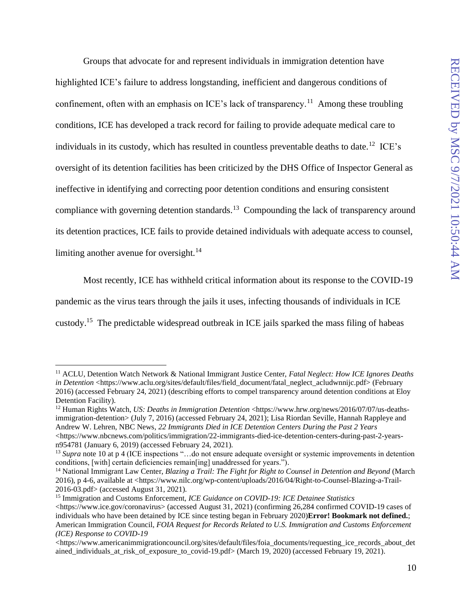Groups that advocate for and represent individuals in immigration detention have highlighted ICE's failure to address longstanding, inefficient and dangerous conditions of confinement, often with an emphasis on ICE's lack of transparency.<sup>11</sup> Among these troubling conditions, ICE has developed a track record for failing to provide adequate medical care to individuals in its custody, which has resulted in countless preventable deaths to date.<sup>12</sup> ICE's oversight of its detention facilities has been criticized by the DHS Office of Inspector General as ineffective in identifying and correcting poor detention conditions and ensuring consistent compliance with governing detention standards.<sup>13</sup> Compounding the lack of transparency around its detention practices, ICE fails to provide detained individuals with adequate access to counsel, limiting another avenue for oversight. $14$ 

Most recently, ICE has withheld critical information about its response to the COVID-19

pandemic as the virus tears through the jails it uses, infecting thousands of individuals in ICE

custody.<sup>15</sup> The predictable widespread outbreak in ICE jails sparked the mass filing of habeas

<sup>11</sup> ACLU, Detention Watch Network & National Immigrant Justice Center, *Fatal Neglect: How ICE Ignores Deaths in Detention* <https://www.aclu.org/sites/default/files/field\_document/fatal\_neglect\_acludwnnijc.pdf> (February 2016) (accessed February 24, 2021) (describing efforts to compel transparency around detention conditions at Eloy Detention Facility).

<sup>&</sup>lt;sup>12</sup> Human Rights Watch, *US: Deaths in Immigration Detention* [<https://www.hrw.org/news/2016/07/07/us-deaths](https://www.hrw.org/news/2016/07/07/us-deaths-immigration-detention)[immigration-detention>](https://www.hrw.org/news/2016/07/07/us-deaths-immigration-detention) (July 7, 2016) (accessed February 24, 2021); Lisa Riordan Seville, Hannah Rappleye and Andrew W. Lehren, NBC News, *22 Immigrants Died in ICE Detention Centers During the Past 2 Years* [<https://www.nbcnews.com/politics/immigration/22-immigrants-died-ice-detention-centers-during-past-2-years](https://www.nbcnews.com/politics/immigration/22-immigrants-died-ice-detention-centers-during-past-2-years-n954781)[n954781](https://www.nbcnews.com/politics/immigration/22-immigrants-died-ice-detention-centers-during-past-2-years-n954781) (January 6, 2019) (accessed February 24, 2021).

<sup>&</sup>lt;sup>13</sup> *Supra* note 10 at p 4 (ICE inspections "...do not ensure adequate oversight or systemic improvements in detention conditions, [with] certain deficiencies remain[ing] unaddressed for years.").

<sup>14</sup> National Immigrant Law Center, *Blazing a Trail: The Fight for Right to Counsel in Detention and Beyond* (March 2016), p 4-6, available at [<https://www.nilc.org/wp-content/uploads/2016/04/Right-to-Counsel-Blazing-a-Trail-](https://www.nilc.org/wp-content/uploads/2016/04/Right-to-Counsel-Blazing-a-Trail-2016-03.pdf)[2016-03.pdf>](https://www.nilc.org/wp-content/uploads/2016/04/Right-to-Counsel-Blazing-a-Trail-2016-03.pdf) (accessed August 31, 2021).

<sup>15</sup> Immigration and Customs Enforcement, *ICE Guidance on COVID-19: ICE Detainee Statistics*  $\langle$ https://www.ice.gov/coronavirus> (accessed August 31, 2021) (confirming 26,284 confirmed COVID-19 cases of individuals who have been detained by ICE since testing began in February 2020)**Error! Bookmark not defined.**; American Immigration Council, *FOIA Request for Records Related to U.S. Immigration and Customs Enforcement (ICE) Response to COVID-19*

<sup>&</sup>lt;https://www.americanimmigrationcouncil.org/sites/default/files/foia\_documents/requesting\_ice\_records\_about\_det ained\_individuals\_at\_risk\_of\_exposure\_to\_covid-19.pdf> (March 19, 2020) (accessed February 19, 2021).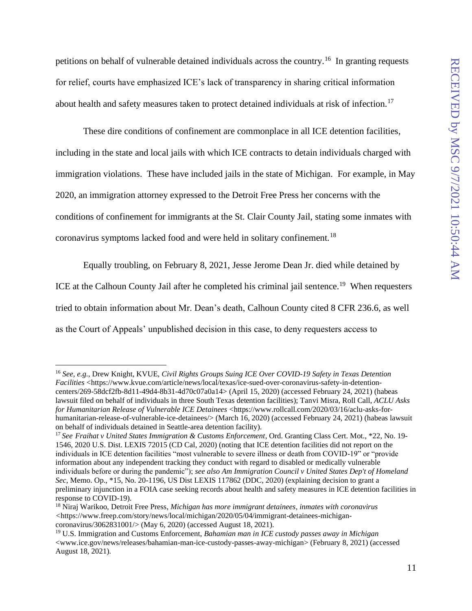petitions on behalf of vulnerable detained individuals across the country.<sup>16</sup> In granting requests for relief, courts have emphasized ICE's lack of transparency in sharing critical information about health and safety measures taken to protect detained individuals at risk of infection.<sup>17</sup>

These dire conditions of confinement are commonplace in all ICE detention facilities, including in the state and local jails with which ICE contracts to detain individuals charged with immigration violations. These have included jails in the state of Michigan. For example, in May 2020, an immigration attorney expressed to the Detroit Free Press her concerns with the conditions of confinement for immigrants at the St. Clair County Jail, stating some inmates with coronavirus symptoms lacked food and were held in solitary confinement.<sup>18</sup>

Equally troubling, on February 8, 2021, Jesse Jerome Dean Jr. died while detained by

ICE at the Calhoun County Jail after he completed his criminal jail sentence.<sup>19</sup> When requesters tried to obtain information about Mr. Dean's death, Calhoun County cited 8 CFR 236.6, as well as the Court of Appeals' unpublished decision in this case, to deny requesters access to

<sup>16</sup> *See, e.g.*, Drew Knight, KVUE, *Civil Rights Groups Suing ICE Over COVID-19 Safety in Texas Detention Facilities* <https://www.kvue.com/article/news/local/texas/ice-sued-over-coronavirus-safety-in-detentioncenters/269-58dcf2fb-8d11-49d4-8b31-4d70c07a0a14> (April 15, 2020) (accessed February 24, 2021) (habeas lawsuit filed on behalf of individuals in three South Texas detention facilities); Tanvi Misra, Roll Call, *ACLU Asks for Humanitarian Release of Vulnerable ICE Detainees* <https://www.rollcall.com/2020/03/16/aclu-asks-forhumanitarian-release-of-vulnerable-ice-detainees/> (March 16, 2020) (accessed February 24, 2021) (habeas lawsuit on behalf of individuals detained in Seattle-area detention facility).

<sup>17</sup> *See Fraihat v United States Immigration & Customs Enforcement*, Ord. Granting Class Cert. Mot., \*22, No. 19- 1546, 2020 U.S. Dist. LEXIS 72015 (CD Cal, 2020) (noting that ICE detention facilities did not report on the individuals in ICE detention facilities "most vulnerable to severe illness or death from COVID-19" or "provide information about any independent tracking they conduct with regard to disabled or medically vulnerable individuals before or during the pandemic"); *see also Am Immigration Council v United States Dep't of Homeland Sec*, Memo. Op., \*15, No. 20-1196, US Dist LEXIS 117862 (DDC, 2020) (explaining decision to grant a preliminary injunction in a FOIA case seeking records about health and safety measures in ICE detention facilities in response to COVID-19).

<sup>18</sup> Niraj Warikoo, Detroit Free Press, *Michigan has more immigrant detainees, inmates with coronavirus <*https://www.freep.com/story/news/local/michigan/2020/05/04/immigrant-detainees-michigancoronavirus/3062831001/> (May 6, 2020) (accessed August 18, 2021).

<sup>19</sup> U.S. Immigration and Customs Enforcement, *Bahamian man in ICE custody passes away in Michigan*  <www.ice.gov/news/releases/bahamian-man-ice-custody-passes-away-michigan> (February 8, 2021) (accessed August 18, 2021).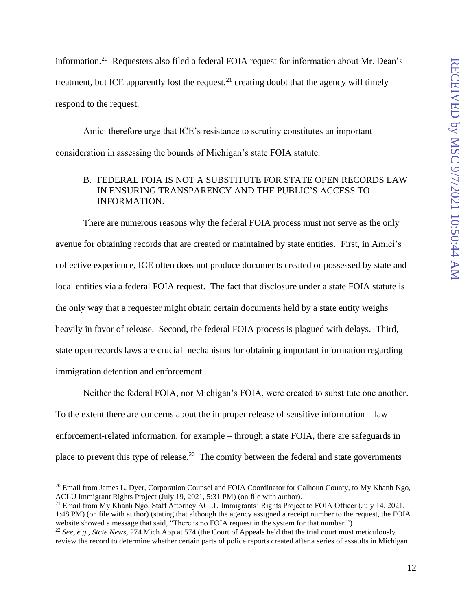information.<sup>20</sup> Requesters also filed a federal FOIA request for information about Mr. Dean's treatment, but ICE apparently lost the request, $^{21}$  creating doubt that the agency will timely respond to the request.

Amici therefore urge that ICE's resistance to scrutiny constitutes an important consideration in assessing the bounds of Michigan's state FOIA statute.

## <span id="page-19-0"></span>B. FEDERAL FOIA IS NOT A SUBSTITUTE FOR STATE OPEN RECORDS LAW IN ENSURING TRANSPARENCY AND THE PUBLIC'S ACCESS TO INFORMATION.

There are numerous reasons why the federal FOIA process must not serve as the only avenue for obtaining records that are created or maintained by state entities. First, in Amici's collective experience, ICE often does not produce documents created or possessed by state and local entities via a federal FOIA request. The fact that disclosure under a state FOIA statute is the only way that a requester might obtain certain documents held by a state entity weighs heavily in favor of release. Second, the federal FOIA process is plagued with delays. Third, state open records laws are crucial mechanisms for obtaining important information regarding immigration detention and enforcement.

Neither the federal FOIA, nor Michigan's FOIA, were created to substitute one another. To the extent there are concerns about the improper release of sensitive information – law enforcement-related information, for example – through a state FOIA, there are safeguards in place to prevent this type of release.<sup>22</sup> The comity between the federal and state governments

<sup>21</sup> Email from My Khanh Ngo, Staff Attorney ACLU Immigrants' Rights Project to FOIA Officer (July 14, 2021, 1:48 PM) (on file with author) (stating that although the agency assigned a receipt number to the request, the FOIA website showed a message that said, "There is no FOIA request in the system for that number.")

<sup>&</sup>lt;sup>20</sup> Email from James L. Dyer, Corporation Counsel and FOIA Coordinator for Calhoun County, to My Khanh Ngo, ACLU Immigrant Rights Project (July 19, 2021, 5:31 PM) (on file with author).

<sup>22</sup> *See, e.g., State News,* 274 Mich App at 574 (the Court of Appeals held that the trial court must meticulously review the record to determine whether certain parts of police reports created after a series of assaults in Michigan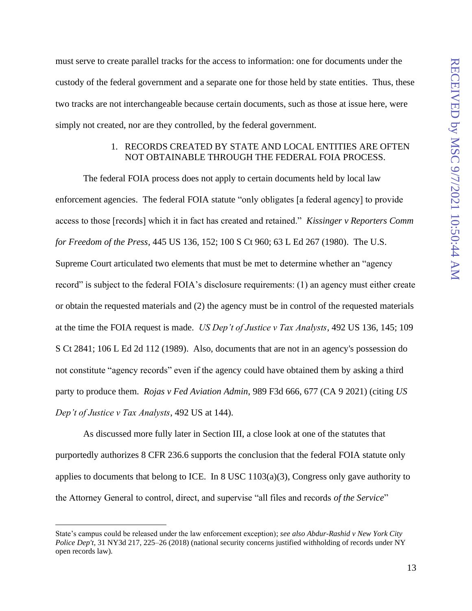must serve to create parallel tracks for the access to information: one for documents under the custody of the federal government and a separate one for those held by state entities. Thus, these two tracks are not interchangeable because certain documents, such as those at issue here, were simply not created, nor are they controlled, by the federal government.

### 1. RECORDS CREATED BY STATE AND LOCAL ENTITIES ARE OFTEN NOT OBTAINABLE THROUGH THE FEDERAL FOIA PROCESS.

<span id="page-20-0"></span>The federal FOIA process does not apply to certain documents held by local law enforcement agencies. The federal FOIA statute "only obligates [a federal agency] to provide access to those [records] which it in fact has created and retained." *Kissinger v Reporters Comm for Freedom of the Press*, 445 US 136, 152; 100 S Ct 960; 63 L Ed 267 (1980). The U.S. Supreme Court articulated two elements that must be met to determine whether an "agency record" is subject to the federal FOIA's disclosure requirements: (1) an agency must either create or obtain the requested materials and (2) the agency must be in control of the requested materials at the time the FOIA request is made. *US Dep't of Justice v Tax Analysts*, 492 US 136, 145; 109 S Ct 2841; 106 L Ed 2d 112 (1989). Also, documents that are not in an agency's possession do not constitute "agency records" even if the agency could have obtained them by asking a third party to produce them. *Rojas v Fed Aviation Admin*, 989 F3d 666, 677 (CA 9 2021) (citing *US Dep't of Justice v Tax Analysts*, 492 US at 144).

As discussed more fully later in Section III, a close look at one of the statutes that purportedly authorizes 8 CFR 236.6 supports the conclusion that the federal FOIA statute only applies to documents that belong to ICE. In  $8$  USC 1103(a)(3), Congress only gave authority to the Attorney General to control, direct, and supervise "all files and records *of the Service*"

State's campus could be released under the law enforcement exception); *see also Abdur-Rashid v New York City Police Dep't, 31 NY3d 217, 225–26 (2018) (national security concerns justified withholding of records under NY* open records law).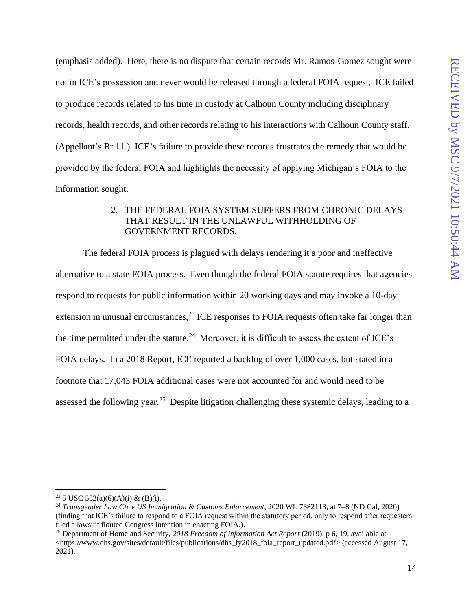(emphasis added). Here, there is no dispute that certain records Mr. Ramos-Gomez sought were not in ICE's possession and never would be released through a federal FOIA request. ICE failed to produce records related to his time in custody at Calhoun County including disciplinary records, health records, and other records relating to his interactions with Calhoun County staff. (Appellant's Br 11.) ICE's failure to provide these records frustrates the remedy that would be provided by the federal FOIA and highlights the necessity of applying Michigan's FOIA to the information sought.

#### 2. THE FEDERAL FOIA SYSTEM SUFFERS FROM CHRONIC DELAYS THAT RESULT IN THE UNLAWFUL WITHHOLDING OF GOVERNMENT RECORDS.

<span id="page-21-0"></span>The federal FOIA process is plagued with delays rendering it a poor and ineffective alternative to a state FOIA process. Even though the federal FOIA statute requires that agencies respond to requests for public information within 20 working days and may invoke a 10-day extension in unusual circumstances,  $^{23}$  ICE responses to FOIA requests often take far longer than the time permitted under the statute.<sup>24</sup> Moreover, it is difficult to assess the extent of ICE's FOIA delays. In a 2018 Report, ICE reported a backlog of over 1,000 cases, but stated in a footnote that 17,043 FOIA additional cases were not accounted for and would need to be assessed the following year.<sup>25</sup> Despite litigation challenging these systemic delays, leading to a

<sup>&</sup>lt;sup>23</sup> 5 USC 552(a)(6)(A)(i) & (B)(i).

<sup>24</sup> *Transgender Law Ctr v US Immigration & Customs Enforcement*, 2020 WL 7382113, at 7–8 (ND Cal, 2020) (finding that ICE's failure to respond to a FOIA request within the statutory period, only to respond after requesters filed a lawsuit flouted Congress intention in enacting FOIA.).

<sup>25</sup> Department of Homeland Security, *2018 Freedom of Information Act Report* (2019), p 6, 19, available at <https://www.dhs.gov/sites/default/files/publications/dhs\_fy2018\_foia\_report\_updated.pdf> (accessed August 17, 2021).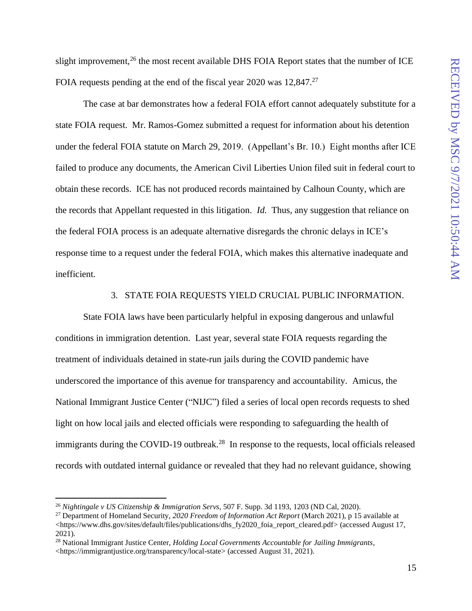slight improvement, $^{26}$  the most recent available DHS FOIA Report states that the number of ICE FOIA requests pending at the end of the fiscal year 2020 was 12,847.<sup>27</sup>

The case at bar demonstrates how a federal FOIA effort cannot adequately substitute for a state FOIA request. Mr. Ramos-Gomez submitted a request for information about his detention under the federal FOIA statute on March 29, 2019. (Appellant's Br. 10.) Eight months after ICE failed to produce any documents, the American Civil Liberties Union filed suit in federal court to obtain these records. ICE has not produced records maintained by Calhoun County, which are the records that Appellant requested in this litigation. *Id.* Thus, any suggestion that reliance on the federal FOIA process is an adequate alternative disregards the chronic delays in ICE's response time to a request under the federal FOIA, which makes this alternative inadequate and inefficient.

#### 3. STATE FOIA REQUESTS YIELD CRUCIAL PUBLIC INFORMATION.

<span id="page-22-0"></span>State FOIA laws have been particularly helpful in exposing dangerous and unlawful conditions in immigration detention. Last year, several state FOIA requests regarding the treatment of individuals detained in state-run jails during the COVID pandemic have underscored the importance of this avenue for transparency and accountability. Amicus, the National Immigrant Justice Center ("NIJC") filed a series of local open records requests to shed light on how local jails and elected officials were responding to safeguarding the health of immigrants during the COVID-19 outbreak.<sup>28</sup> In response to the requests, local officials released records with outdated internal guidance or revealed that they had no relevant guidance, showing

<sup>26</sup> *Nightingale v US Citizenship & Immigration Servs*, 507 F. Supp. 3d 1193, 1203 (ND Cal, 2020).

<sup>27</sup> Department of Homeland Security, *2020 Freedom of Information Act Report* (March 2021), p 15 available at <https://www.dhs.gov/sites/default/files/publications/dhs\_fy2020\_foia\_report\_cleared.pdf> (accessed August 17, 2021).

<sup>28</sup> National Immigrant Justice Center, *Holding Local Governments Accountable for Jailing Immigrants*, <https://immigrantjustice.org/transparency/local-state> (accessed August 31, 2021).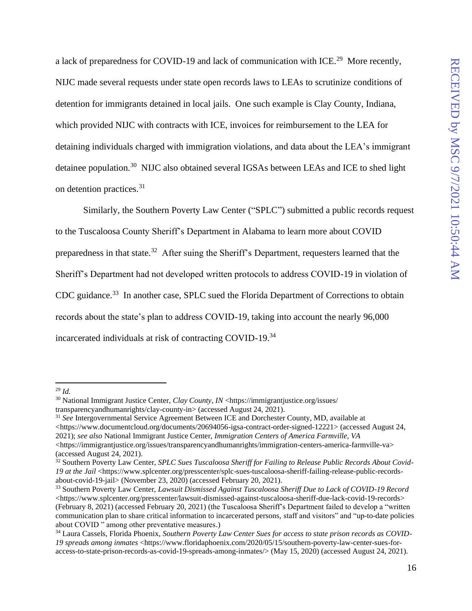a lack of preparedness for COVID-19 and lack of communication with ICE.<sup>29</sup> More recently, NIJC made several requests under state open records laws to LEAs to scrutinize conditions of detention for immigrants detained in local jails. One such example is Clay County, Indiana, which provided NIJC with contracts with ICE, invoices for reimbursement to the LEA for detaining individuals charged with immigration violations, and data about the LEA's immigrant detainee population.<sup>30</sup> NIJC also obtained several IGSAs between LEAs and ICE to shed light on detention practices.<sup>31</sup>

Similarly, the Southern Poverty Law Center ("SPLC") submitted a public records request to the Tuscaloosa County Sheriff's Department in Alabama to learn more about COVID preparedness in that state.<sup>32</sup> After suing the Sheriff's Department, requesters learned that the Sheriff's Department had not developed written protocols to address COVID-19 in violation of CDC guidance.<sup>33</sup> In another case, SPLC sued the Florida Department of Corrections to obtain records about the state's plan to address COVID-19, taking into account the nearly 96,000 incarcerated individuals at risk of contracting COVID-19.<sup>34</sup>

<sup>31</sup> *See* Intergovernmental Service Agreement Between ICE and Dorchester County, MD, available at  $\lt$ https://www.documentcloud.org/documents/20694056-igsa-contract-order-signed-12221> (accessed August 24, 2021); *see also* National Immigrant Justice Center, *Immigration Centers of America Farmville, VA* <https://immigrantjustice.org/issues/transparencyandhumanrights/immigration-centers-america-farmville-va> (accessed August 24, 2021).

<sup>29</sup> *Id.*

<sup>&</sup>lt;sup>30</sup> National Immigrant Justice Center, *Clay County, IN* <https://immigrantjustice.org/issues/ transparencyandhumanrights/clay-county-in> (accessed August 24, 2021).

<sup>32</sup> Southern Poverty Law Center, *SPLC Sues Tuscaloosa Sheriff for Failing to Release Public Records About Covid-*19 at the Jail <https://www.splcenter.org/presscenter/splc-sues-tuscaloosa-sheriff-failing-release-public-recordsabout-covid-19-jail> (November 23, 2020) (accessed February 20, 2021).

<sup>33</sup> Southern Poverty Law Center, *Lawsuit Dismissed Against Tuscaloosa Sheriff Due to Lack of COVID-19 Record* <https://www.splcenter.org/presscenter/lawsuit-dismissed-against-tuscaloosa-sheriff-due-lack-covid-19-records> (February 8, 2021) (accessed February 20, 2021) (the Tuscaloosa Sheriff's Department failed to develop a "written communication plan to share critical information to incarcerated persons, staff and visitors" and "up-to-date policies about COVID " among other preventative measures.)

<sup>34</sup> Laura Cassels, Florida Phoenix, *Southern Poverty Law Center Sues for access to state prison records as COVID-19 spreads among inmates* <https://www.floridaphoenix.com/2020/05/15/southern-poverty-law-center-sues-foraccess-to-state-prison-records-as-covid-19-spreads-among-inmates/> (May 15, 2020) (accessed August 24, 2021).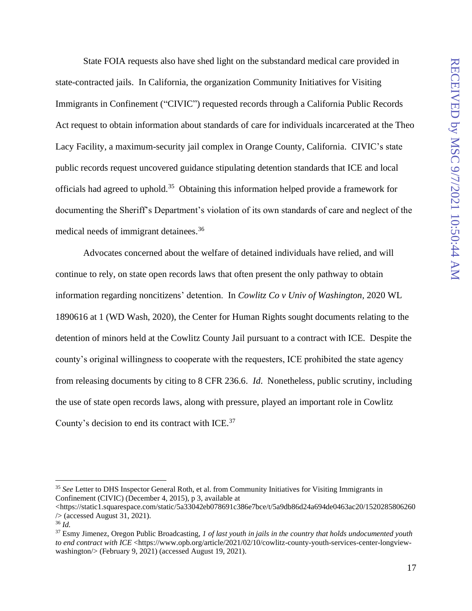State FOIA requests also have shed light on the substandard medical care provided in state-contracted jails. In California, the organization Community Initiatives for Visiting Immigrants in Confinement ("CIVIC") requested records through a California Public Records Act request to obtain information about standards of care for individuals incarcerated at the Theo Lacy Facility, a maximum-security jail complex in Orange County, California. CIVIC's state public records request uncovered guidance stipulating detention standards that ICE and local officials had agreed to uphold.<sup>35</sup> Obtaining this information helped provide a framework for documenting the Sheriff's Department's violation of its own standards of care and neglect of the medical needs of immigrant detainees.<sup>36</sup>

Advocates concerned about the welfare of detained individuals have relied, and will continue to rely, on state open records laws that often present the only pathway to obtain information regarding noncitizens' detention. In *Cowlitz Co v Univ of Washington,* 2020 WL 1890616 at 1 (WD Wash, 2020), the Center for Human Rights sought documents relating to the detention of minors held at the Cowlitz County Jail pursuant to a contract with ICE. Despite the county's original willingness to cooperate with the requesters, ICE prohibited the state agency from releasing documents by citing to 8 CFR 236.6. *Id*. Nonetheless, public scrutiny, including the use of state open records laws, along with pressure, played an important role in Cowlitz County's decision to end its contract with ICE.<sup>37</sup>

<sup>&</sup>lt;sup>35</sup> See Letter to DHS Inspector General Roth, et al. from Community Initiatives for Visiting Immigrants in Confinement (CIVIC) (December 4, 2015), p 3, available at

<sup>&</sup>lt;https://static1.squarespace.com/static/5a33042eb078691c386e7bce/t/5a9db86d24a694de0463ac20/1520285806260  $\sqrt{2}$  (accessed August 31, 2021).

<sup>36</sup> *Id.*

<sup>37</sup> Esmy Jimenez, Oregon Public Broadcasting, *1 of last youth in jails in the country that holds undocumented youth to end contract with ICE* <https://www.opb.org/article/2021/02/10/cowlitz-county-youth-services-center-longviewwashington/> (February 9, 2021) (accessed August 19, 2021).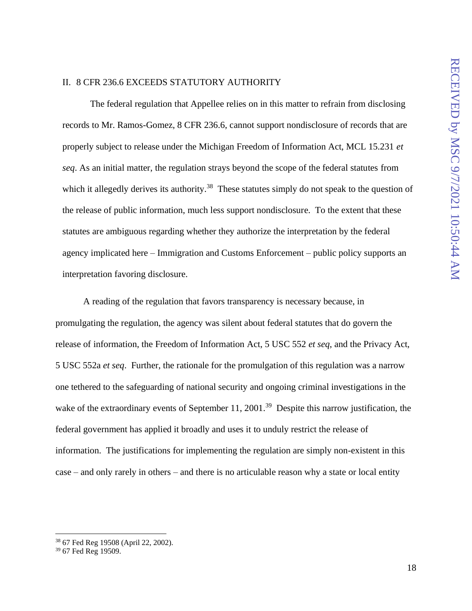### <span id="page-25-0"></span>II. 8 CFR 236.6 EXCEEDS STATUTORY AUTHORITY

The federal regulation that Appellee relies on in this matter to refrain from disclosing records to Mr. Ramos-Gomez, 8 CFR 236.6, cannot support nondisclosure of records that are properly subject to release under the Michigan Freedom of Information Act, MCL 15.231 *et seq*. As an initial matter, the regulation strays beyond the scope of the federal statutes from which it allegedly derives its authority.<sup>38</sup> These statutes simply do not speak to the question of the release of public information, much less support nondisclosure. To the extent that these statutes are ambiguous regarding whether they authorize the interpretation by the federal agency implicated here – Immigration and Customs Enforcement – public policy supports an interpretation favoring disclosure.

A reading of the regulation that favors transparency is necessary because, in promulgating the regulation, the agency was silent about federal statutes that do govern the release of information, the Freedom of Information Act, 5 USC 552 *et seq*, and the Privacy Act, 5 USC 552a *et seq*. Further, the rationale for the promulgation of this regulation was a narrow one tethered to the safeguarding of national security and ongoing criminal investigations in the wake of the extraordinary events of September 11, 2001.<sup>39</sup> Despite this narrow justification, the federal government has applied it broadly and uses it to unduly restrict the release of information. The justifications for implementing the regulation are simply non-existent in this case – and only rarely in others – and there is no articulable reason why a state or local entity

<sup>38</sup> 67 Fed Reg 19508 (April 22, 2002).

<sup>39</sup> 67 Fed Reg 19509.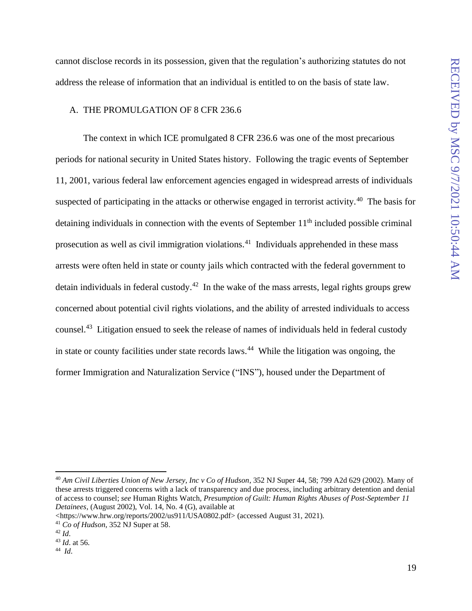cannot disclose records in its possession, given that the regulation's authorizing statutes do not address the release of information that an individual is entitled to on the basis of state law.

#### <span id="page-26-0"></span>A. THE PROMULGATION OF 8 CFR 236.6

The context in which ICE promulgated 8 CFR 236.6 was one of the most precarious periods for national security in United States history. Following the tragic events of September 11, 2001, various federal law enforcement agencies engaged in widespread arrests of individuals suspected of participating in the attacks or otherwise engaged in terrorist activity.<sup>40</sup> The basis for detaining individuals in connection with the events of September  $11<sup>th</sup>$  included possible criminal prosecution as well as civil immigration violations.<sup>41</sup> Individuals apprehended in these mass arrests were often held in state or county jails which contracted with the federal government to detain individuals in federal custody.<sup>42</sup> In the wake of the mass arrests, legal rights groups grew concerned about potential civil rights violations, and the ability of arrested individuals to access counsel.<sup>43</sup> Litigation ensued to seek the release of names of individuals held in federal custody in state or county facilities under state records laws.<sup>44</sup> While the litigation was ongoing, the former Immigration and Naturalization Service ("INS"), housed under the Department of

<sup>40</sup> *Am Civil Liberties Union of New Jersey, Inc v Co of Hudson*, 352 NJ Super 44, 58; 799 A2d 629 (2002). Many of these arrests triggered concerns with a lack of transparency and due process, including arbitrary detention and denial of access to counsel; *see* Human Rights Watch, *Presumption of Guilt: Human Rights Abuses of Post-September 11 Detainees*, (August 2002), Vol. 14, No. 4 (G), available at

<sup>&</sup>lt;https://www.hrw.org/reports/2002/us911/USA0802.pdf> (accessed August 31, 2021).

<sup>41</sup> *Co of Hudson*, 352 NJ Super at 58.

<sup>42</sup> *Id*.

<sup>43</sup> *Id*. at 56.

<sup>44</sup> *Id*.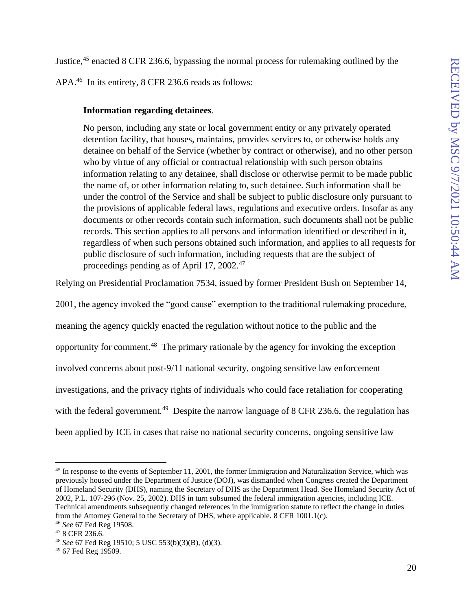Justice,<sup>45</sup> enacted 8 CFR 236.6, bypassing the normal process for rulemaking outlined by the

APA.<sup>46</sup> In its entirety, 8 CFR 236.6 reads as follows:

### **Information regarding detainees**.

No person, including any state or local government entity or any privately operated detention facility, that houses, maintains, provides [services](https://www.law.cornell.edu/definitions/index.php?width=840&height=800&iframe=true&def_id=75025f16e3e14a9519dbe14c8aa0bcbf&term_occur=999&term_src=Title:8:Chapter:I:Subchapter:B:Part:236:Subpart:A:236.6) to, or otherwise holds any detainee on behalf of the [Service](https://www.law.cornell.edu/definitions/index.php?width=840&height=800&iframe=true&def_id=75025f16e3e14a9519dbe14c8aa0bcbf&term_occur=999&term_src=Title:8:Chapter:I:Subchapter:B:Part:236:Subpart:A:236.6) (whether by contract or otherwise), and no other person who by virtue of any official or contractual relationship with such person obtains information relating to any detainee, shall disclose or otherwise permit to be made public the name of, or other information relating to, such detainee. Such information shall be under the control of the [Service](https://www.law.cornell.edu/definitions/index.php?width=840&height=800&iframe=true&def_id=75025f16e3e14a9519dbe14c8aa0bcbf&term_occur=999&term_src=Title:8:Chapter:I:Subchapter:B:Part:236:Subpart:A:236.6) and shall be subject to public disclosure only pursuant to the provisions of applicable federal laws, regulations and executive orders. Insofar as any documents or other records contain such information, such documents shall not be public records. This section applies to all persons and information identified or described in it, regardless of when such persons obtained such information, and applies to all requests for public disclosure of such information, including requests that are the subject of proceedings pending as of April 17, 2002.<sup>47</sup>

Relying on Presidential Proclamation 7534, issued by former President Bush on September 14,

2001, the agency invoked the "good cause" exemption to the traditional rulemaking procedure, meaning the agency quickly enacted the regulation without notice to the public and the opportunity for comment.<sup>48</sup> The primary rationale by the agency for invoking the exception involved concerns about post-9/11 national security, ongoing sensitive law enforcement investigations, and the privacy rights of individuals who could face retaliation for cooperating with the federal government.<sup>49</sup> Despite the narrow language of 8 CFR 236.6, the regulation has been applied by ICE in cases that raise no national security concerns, ongoing sensitive law

<sup>&</sup>lt;sup>45</sup> In response to the events of September 11, 2001, the former Immigration and Naturalization Service, which was previously housed under the Department of Justice (DOJ), was dismantled when Congress created the Department of Homeland Security (DHS), naming the Secretary of DHS as the Department Head. See Homeland Security Act of 2002, P.L. 107-296 (Nov. 25, 2002). DHS in turn subsumed the federal immigration agencies, including ICE. Technical amendments subsequently changed references in the immigration statute to reflect the change in duties from the Attorney General to the Secretary of DHS, where applicable. 8 CFR 1001.1(c). <sup>46</sup> *See* 67 Fed Reg 19508.

<sup>47</sup> 8 CFR 236.6.

<sup>48</sup> *See* 67 Fed Reg 19510; 5 USC 553(b)(3)(B), (d)(3).

<sup>49</sup> 67 Fed Reg 19509.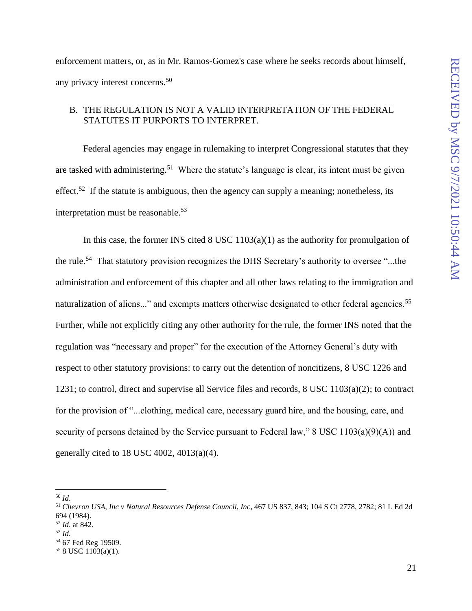enforcement matters, or, as in Mr. Ramos-Gomez's case where he seeks records about himself, any privacy interest concerns.<sup>50</sup>

### <span id="page-28-0"></span>B. THE REGULATION IS NOT A VALID INTERPRETATION OF THE FEDERAL STATUTES IT PURPORTS TO INTERPRET.

Federal agencies may engage in rulemaking to interpret Congressional statutes that they are tasked with administering.<sup>51</sup> Where the statute's language is clear, its intent must be given effect.<sup>52</sup> If the statute is ambiguous, then the agency can supply a meaning; nonetheless, its interpretation must be reasonable.<sup>53</sup>

In this case, the former INS cited 8 USC 1103(a)(1) as the authority for promulgation of the rule.<sup>54</sup> That statutory provision recognizes the DHS Secretary's authority to oversee "...the administration and enforcement of this chapter and all other laws relating to the immigration and naturalization of aliens..." and exempts matters otherwise designated to other federal agencies.<sup>55</sup> Further, while not explicitly citing any other authority for the rule, the former INS noted that the regulation was "necessary and proper" for the execution of the Attorney General's duty with respect to other statutory provisions: to carry out the detention of noncitizens, 8 USC 1226 and 1231; to control, direct and supervise all Service files and records, 8 USC 1103(a)(2); to contract for the provision of "...clothing, medical care, necessary guard hire, and the housing, care, and security of persons detained by the Service pursuant to Federal law," 8 USC 1103(a)(9)(A)) and generally cited to 18 USC 4002,  $4013(a)(4)$ .

<sup>50</sup> *Id*.

<sup>51</sup> *Chevron USA, Inc v Natural Resources Defense Council, Inc*, 467 US 837, 843; 104 S Ct 2778, 2782; 81 L Ed 2d 694 (1984). <sup>52</sup> *Id*. at 842.

<sup>53</sup> *Id*.

<sup>54</sup> 67 Fed Reg 19509.

<sup>55</sup> 8 USC 1103(a)(1).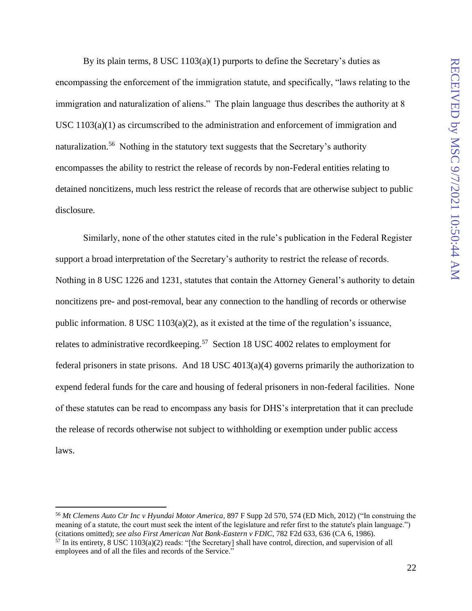By its plain terms,  $8 \text{ USC } 1103(a)(1)$  purports to define the Secretary's duties as encompassing the enforcement of the immigration statute, and specifically, "laws relating to the immigration and naturalization of aliens." The plain language thus describes the authority at 8 USC 1103(a)(1) as circumscribed to the administration and enforcement of immigration and naturalization.<sup>56</sup> Nothing in the statutory text suggests that the Secretary's authority encompasses the ability to restrict the release of records by non-Federal entities relating to detained noncitizens, much less restrict the release of records that are otherwise subject to public disclosure.

Similarly, none of the other statutes cited in the rule's publication in the Federal Register support a broad interpretation of the Secretary's authority to restrict the release of records. Nothing in 8 USC 1226 and 1231, statutes that contain the Attorney General's authority to detain noncitizens pre- and post-removal, bear any connection to the handling of records or otherwise public information. 8 USC 1103(a)(2), as it existed at the time of the regulation's issuance, relates to administrative recordkeeping.<sup>57</sup> Section 18 USC 4002 relates to employment for federal prisoners in state prisons. And 18 USC 4013(a)(4) governs primarily the authorization to expend federal funds for the care and housing of federal prisoners in non-federal facilities. None of these statutes can be read to encompass any basis for DHS's interpretation that it can preclude the release of records otherwise not subject to withholding or exemption under public access laws.

<sup>56</sup> *Mt Clemens Auto Ctr Inc v Hyundai Motor America*, 897 F Supp 2d 570, 574 (ED Mich, 2012) ("In construing the meaning of a statute, the court must seek the intent of the legislature and refer first to the statute's plain language.") (citations omitted); *see also First American Nat Bank-Eastern v FDIC*, 782 F2d 633, 636 (CA 6, 1986). <sup>57</sup> In its entirety, 8 USC 1103(a)(2) reads: "[the Secretary] shall have control, direction, and supervision of all employees and of all the files and records of the Service."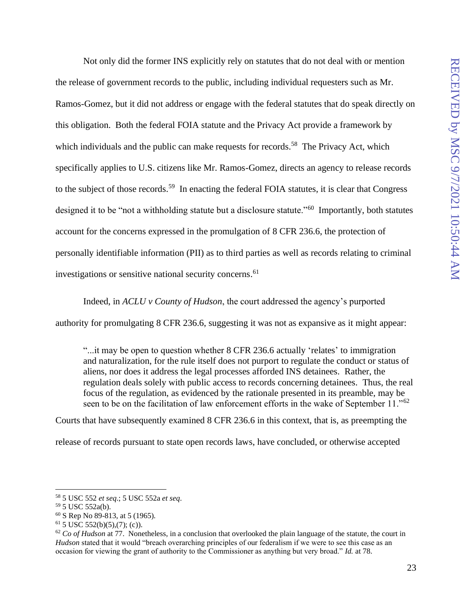Not only did the former INS explicitly rely on statutes that do not deal with or mention the release of government records to the public, including individual requesters such as Mr. Ramos-Gomez, but it did not address or engage with the federal statutes that do speak directly on this obligation. Both the federal FOIA statute and the Privacy Act provide a framework by which individuals and the public can make requests for records.<sup>58</sup> The Privacy Act, which specifically applies to U.S. citizens like Mr. Ramos-Gomez, directs an agency to release records to the subject of those records.<sup>59</sup> In enacting the federal FOIA statutes, it is clear that Congress designed it to be "not a withholding statute but a disclosure statute."<sup>60</sup> Importantly, both statutes account for the concerns expressed in the promulgation of 8 CFR 236.6, the protection of personally identifiable information (PII) as to third parties as well as records relating to criminal investigations or sensitive national security concerns.<sup>61</sup>

Indeed, in *ACLU v County of Hudson*, the court addressed the agency's purported

authority for promulgating 8 CFR 236.6, suggesting it was not as expansive as it might appear:

"...it may be open to question whether 8 CFR 236.6 actually 'relates' to immigration and naturalization, for the rule itself does not purport to regulate the conduct or status of aliens, nor does it address the legal processes afforded INS detainees. Rather, the regulation deals solely with public access to records concerning detainees. Thus, the real focus of the regulation, as evidenced by the rationale presented in its preamble, may be seen to be on the facilitation of law enforcement efforts in the wake of September 11."<sup>62</sup>

Courts that have subsequently examined 8 CFR 236.6 in this context, that is, as preempting the release of records pursuant to state open records laws, have concluded, or otherwise accepted

<sup>58</sup> 5 USC 552 *et seq*.; 5 USC 552a *et seq*.

<sup>59</sup> 5 USC 552a(b).

<sup>60</sup> S Rep No 89-813, at 5 (1965).

 $61$  5 USC 552(b)(5),(7); (c)).

 $62$  *Co of Hudson* at 77. Nonetheless, in a conclusion that overlooked the plain language of the statute, the court in *Hudson* stated that it would "breach overarching principles of our federalism if we were to see this case as an occasion for viewing the grant of authority to the Commissioner as anything but very broad." *Id.* at 78.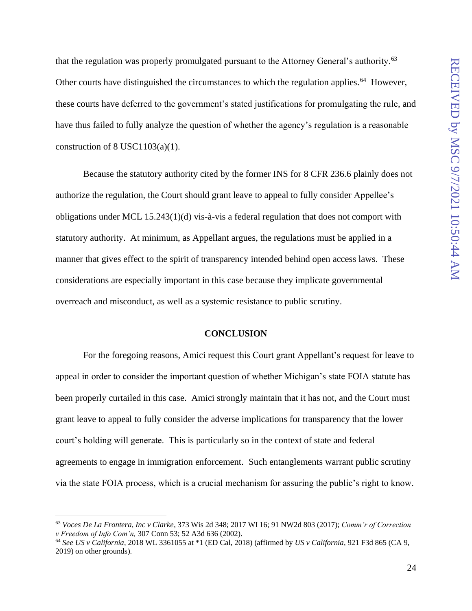that the regulation was properly promulgated pursuant to the Attorney General's authority.<sup>63</sup> Other courts have distinguished the circumstances to which the regulation applies.<sup>64</sup> However, these courts have deferred to the government's stated justifications for promulgating the rule, and have thus failed to fully analyze the question of whether the agency's regulation is a reasonable construction of  $8$  USC1103(a)(1).

Because the statutory authority cited by the former INS for 8 CFR 236.6 plainly does not authorize the regulation, the Court should grant leave to appeal to fully consider Appellee's obligations under MCL 15.243(1)(d) vis-à-vis a federal regulation that does not comport with statutory authority. At minimum, as Appellant argues, the regulations must be applied in a manner that gives effect to the spirit of transparency intended behind open access laws. These considerations are especially important in this case because they implicate governmental overreach and misconduct, as well as a systemic resistance to public scrutiny.

#### **CONCLUSION**

<span id="page-31-0"></span>For the foregoing reasons, Amici request this Court grant Appellant's request for leave to appeal in order to consider the important question of whether Michigan's state FOIA statute has been properly curtailed in this case. Amici strongly maintain that it has not, and the Court must grant leave to appeal to fully consider the adverse implications for transparency that the lower court's holding will generate. This is particularly so in the context of state and federal agreements to engage in immigration enforcement. Such entanglements warrant public scrutiny via the state FOIA process, which is a crucial mechanism for assuring the public's right to know.

<sup>63</sup> *Voces De La Frontera, Inc v Clarke*, 373 Wis 2d 348; 2017 WI 16; 91 NW2d 803 (2017); *Comm'r of Correction v Freedom of Info Com'n,* 307 Conn 53; 52 A3d 636 (2002).

<sup>64</sup> *See US v California*, 2018 WL 3361055 at \*1 (ED Cal, 2018) (affirmed by *US v California*, 921 F3d 865 (CA 9, 2019) on other grounds).